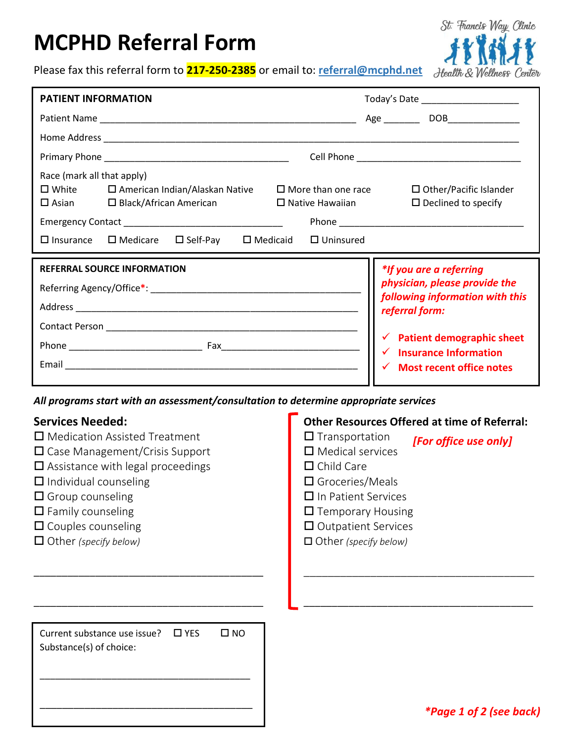# **MCPHD Referral Form**



Please fax this referral form to **217-250-2385** or email to: **referral@mcphd.net**

| <b>PATIENT INFORMATION</b>                                                                                                                                                                                                                                                                                                                                                                          |                                                                                                                                                                                                                         | Today's Date ______________________                                                                                   |  |
|-----------------------------------------------------------------------------------------------------------------------------------------------------------------------------------------------------------------------------------------------------------------------------------------------------------------------------------------------------------------------------------------------------|-------------------------------------------------------------------------------------------------------------------------------------------------------------------------------------------------------------------------|-----------------------------------------------------------------------------------------------------------------------|--|
|                                                                                                                                                                                                                                                                                                                                                                                                     |                                                                                                                                                                                                                         |                                                                                                                       |  |
|                                                                                                                                                                                                                                                                                                                                                                                                     |                                                                                                                                                                                                                         |                                                                                                                       |  |
|                                                                                                                                                                                                                                                                                                                                                                                                     |                                                                                                                                                                                                                         |                                                                                                                       |  |
| Race (mark all that apply)<br>$\square$ White $\square$ American Indian/Alaskan Native $\square$ More than one race<br>$\Box$ Asian $\Box$ Black/African American<br>$\square$ Medicare $\square$ Self-Pay $\square$ Medicaid $\square$ Uninsured<br>$\Box$ Insurance                                                                                                                               | $\Box$ Native Hawaiian                                                                                                                                                                                                  | $\Box$ Other/Pacific Islander<br>$\Box$ Declined to specify                                                           |  |
| <b>REFERRAL SOURCE INFORMATION</b>                                                                                                                                                                                                                                                                                                                                                                  |                                                                                                                                                                                                                         | *If you are a referring                                                                                               |  |
|                                                                                                                                                                                                                                                                                                                                                                                                     |                                                                                                                                                                                                                         | physician, please provide the<br>following information with this<br>referral form:                                    |  |
|                                                                                                                                                                                                                                                                                                                                                                                                     |                                                                                                                                                                                                                         |                                                                                                                       |  |
|                                                                                                                                                                                                                                                                                                                                                                                                     |                                                                                                                                                                                                                         | $\checkmark$ Patient demographic sheet<br>$\checkmark$ Insurance Information<br>$\checkmark$ Most recent office notes |  |
|                                                                                                                                                                                                                                                                                                                                                                                                     |                                                                                                                                                                                                                         |                                                                                                                       |  |
|                                                                                                                                                                                                                                                                                                                                                                                                     |                                                                                                                                                                                                                         |                                                                                                                       |  |
| All programs start with an assessment/consultation to determine appropriate services<br><b>Services Needed:</b><br>$\Box$ Medication Assisted Treatment<br>$\Box$ Case Management/Crisis Support<br>$\square$ Assistance with legal proceedings<br>$\Box$ Individual counseling<br>$\Box$ Group counseling<br>$\Box$ Family counseling<br>$\Box$ Couples counseling<br>$\Box$ Other (specify below) | $\Box$ Transportation<br>$\Box$ Medical services<br>$\Box$ Child Care<br>$\Box$ Groceries/Meals<br>$\Box$ In Patient Services<br>$\Box$ Temporary Housing<br>$\Box$ Outpatient Services<br>$\Box$ Other (specify below) | <b>Other Resources Offered at time of Referral:</b><br>[For office use only]                                          |  |
| Current substance use issue?<br>$\square$ YES<br>$\square$ NO<br>Substance(s) of choice:                                                                                                                                                                                                                                                                                                            |                                                                                                                                                                                                                         | <i>*Page 1 of 2 (see back)</i>                                                                                        |  |